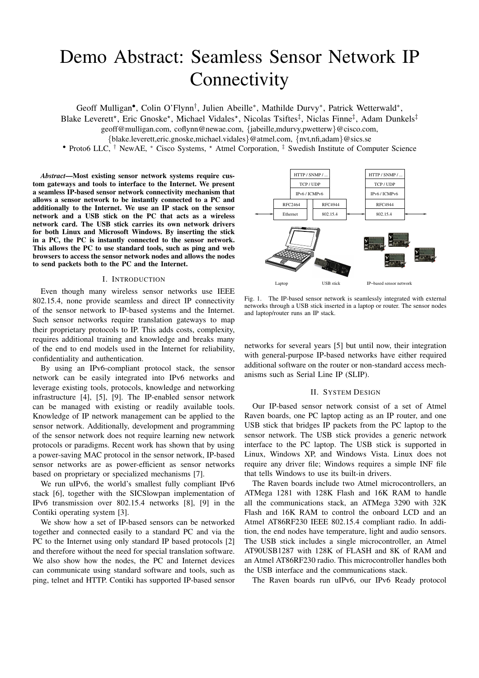# Demo Abstract: Seamless Sensor Network IP **Connectivity**

Geoff Mulligan<sup>•</sup>, Colin O'Flynn<sup>†</sup>, Julien Abeille<sup>\*</sup>, Mathilde Durvy<sup>\*</sup>, Patrick Wetterwald<sup>\*</sup>,

Blake Leverett<sup>\*</sup>, Eric Gnoske<sup>\*</sup>, Michael Vidales<sup>\*</sup>, Nicolas Tsiftes<sup>‡</sup>, Niclas Finne<sup>‡</sup>, Adam Dunkels<sup>‡</sup>

geoff@mulligan.com, coflynn@newae.com, {jabeille,mdurvy,pwetterw}@cisco.com,

{blake.leverett,eric.gnoske,michael.vidales}@atmel.com, {nvt,nfi,adam}@sics.se

• Proto6 LLC, † NewAE, \* Cisco Systems, \* Atmel Corporation, ‡ Swedish Institute of Computer Science

*Abstract*—Most existing sensor network systems require custom gateways and tools to interface to the Internet. We present a seamless IP-based sensor network connectivity mechanism that allows a sensor network to be instantly connected to a PC and additionally to the Internet. We use an IP stack on the sensor network and a USB stick on the PC that acts as a wireless network card. The USB stick carries its own network drivers for both Linux and Microsoft Windows. By inserting the stick in a PC, the PC is instantly connected to the sensor network. This allows the PC to use standard tools, such as ping and web browsers to access the sensor network nodes and allows the nodes to send packets both to the PC and the Internet.

#### I. INTRODUCTION

Even though many wireless sensor networks use IEEE 802.15.4, none provide seamless and direct IP connectivity of the sensor network to IP-based systems and the Internet. Such sensor networks require translation gateways to map their proprietary protocols to IP. This adds costs, complexity, requires additional training and knowledge and breaks many of the end to end models used in the Internet for reliability, confidentiality and authentication.

By using an IPv6-compliant protocol stack, the sensor network can be easily integrated into IPv6 networks and leverage existing tools, protocols, knowledge and networking infrastructure [4], [5], [9]. The IP-enabled sensor network can be managed with existing or readily available tools. Knowledge of IP network management can be applied to the sensor network. Additionally, development and programming of the sensor network does not require learning new network protocols or paradigms. Recent work has shown that by using a power-saving MAC protocol in the sensor network, IP-based sensor networks are as power-efficient as sensor networks based on proprietary or specialized mechanisms [7].

We run uIPv6, the world's smallest fully compliant IPv6 stack [6], together with the SICSlowpan implementation of IPv6 transmission over 802.15.4 networks [8], [9] in the Contiki operating system [3].

We show how a set of IP-based sensors can be networked together and connected easily to a standard PC and via the PC to the Internet using only standard IP based protocols [2] and therefore without the need for special translation software. We also show how the nodes, the PC and Internet devices can communicate using standard software and tools, such as ping, telnet and HTTP. Contiki has supported IP-based sensor



Fig. 1. The IP-based sensor network is seamlessly integrated with external networks through a USB stick inserted in a laptop or router. The sensor nodes and laptop/router runs an IP stack.

networks for several years [5] but until now, their integration with general-purpose IP-based networks have either required additional software on the router or non-standard access mechanisms such as Serial Line IP (SLIP).

#### II. SYSTEM DESIGN

Our IP-based sensor network consist of a set of Atmel Raven boards, one PC laptop acting as an IP router, and one USB stick that bridges IP packets from the PC laptop to the sensor network. The USB stick provides a generic network interface to the PC laptop. The USB stick is supported in Linux, Windows XP, and Windows Vista. Linux does not require any driver file; Windows requires a simple INF file that tells Windows to use its built-in drivers.

The Raven boards include two Atmel microcontrollers, an ATMega 1281 with 128K Flash and 16K RAM to handle all the communications stack, an ATMega 3290 with 32K Flash and 16K RAM to control the onboard LCD and an Atmel AT86RF230 IEEE 802.15.4 compliant radio. In addition, the end nodes have temperature, light and audio sensors. The USB stick includes a single microcontroller, an Atmel AT90USB1287 with 128K of FLASH and 8K of RAM and an Atmel AT86RF230 radio. This microcontroller handles both the USB interface and the communications stack.

The Raven boards run uIPv6, our IPv6 Ready protocol